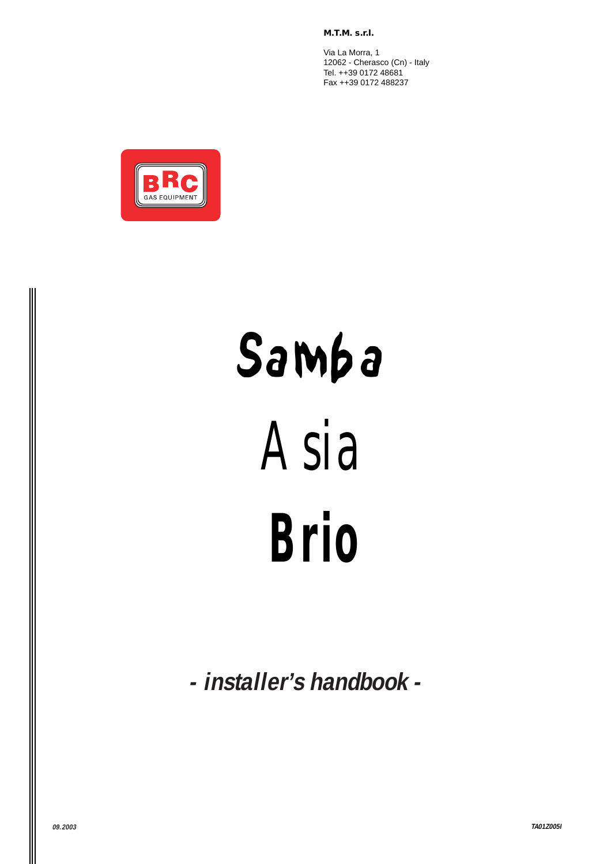**M.T.M. s.r.l.**

Via La Morra, 1 12062 - Cherasco (Cn) - Italy Tel. ++39 0172 48681 Fax ++39 0172 488237



# Samba



*Brio*

**- installer's handbook -**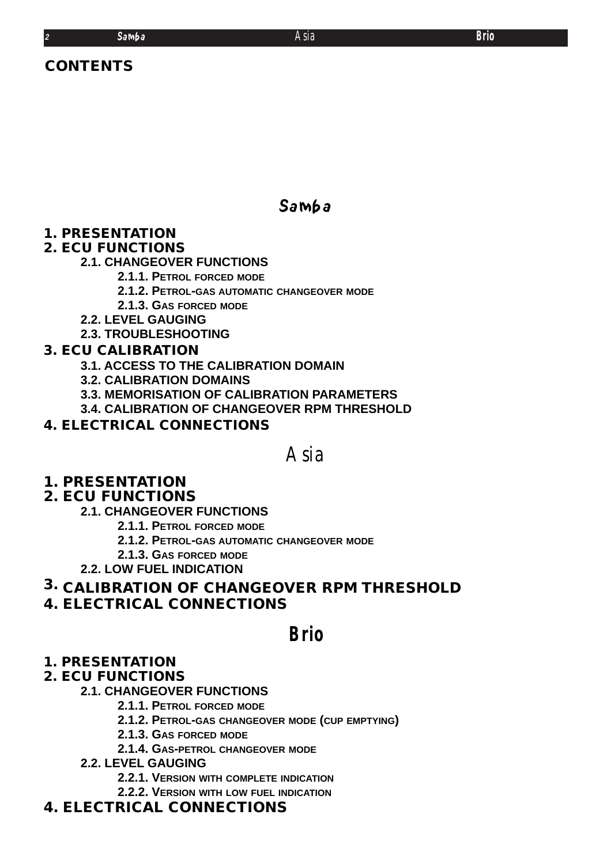# **CONTENTS**

# Samba

# **1. PRESENTATION**

# **2. ECU FUNCTIONS**

# **2.1. CHANGEOVER FUNCTIONS**

- **2.1.1. PETROL FORCED MODE**
- **2.1.2. PETROL-GAS AUTOMATIC CHANGEOVER MODE**
- **2.1.3. GAS FORCED MODE**
- **2.2. LEVEL GAUGING**
- **2.3. TROUBLESHOOTING**

# **3. ECU CALIBRATION**

- **3.1. ACCESS TO THE CALIBRATION DOMAIN**
- **3.2. CALIBRATION DOMAINS**
- **3.3. MEMORISATION OF CALIBRATION PARAMETERS**
- **3.4. CALIBRATION OF CHANGEOVER RPM THRESHOLD**

# **4. ELECTRICAL CONNECTIONS**

# *Asia*

# **1. PRESENTATION**

# **2. ECU FUNCTIONS**

- **2.1. CHANGEOVER FUNCTIONS**
	- **2.1.1. PETROL FORCED MODE**
	- **2.1.2. PETROL-GAS AUTOMATIC CHANGEOVER MODE**
- **2.1.3. GAS FORCED MODE**
- **2.2. LOW FUEL INDICATION**

# **3. CALIBRATION OF CHANGEOVER RPM THRESHOLD**

**4. ELECTRICAL CONNECTIONS**

*Brio*

# **1. PRESENTATION**

# **2. ECU FUNCTIONS**

# **2.1. CHANGEOVER FUNCTIONS**

- **2.1.1. PETROL FORCED MODE**
- **2.1.2. PETROL-GAS CHANGEOVER MODE (CUP EMPTYING)**
- **2.1.3. GAS FORCED MODE**
- **2.1.4. GAS-PETROL CHANGEOVER MODE**
- **2.2. LEVEL GAUGING**
	- **2.2.1. VERSION WITH COMPLETE INDICATION**
	- **2.2.2. VERSION WITH LOW FUEL INDICATION**

# **4. ELECTRICAL CONNECTIONS**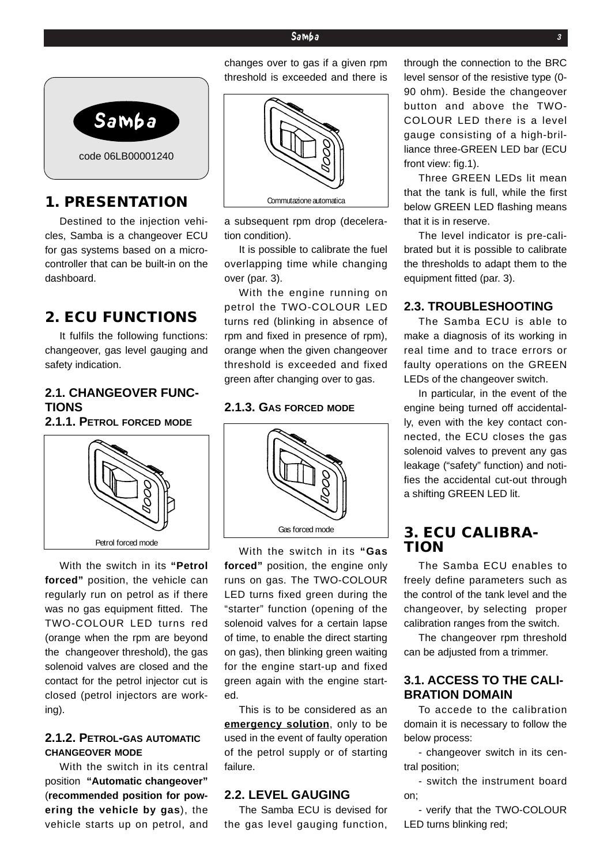#### Samba **3**



# **1. PRESENTATION**

Destined to the injection vehicles, Samba is a changeover ECU for gas systems based on a microcontroller that can be built-in on the dashboard.

### **2. ECU FUNCTIONS**

It fulfils the following functions: changeover, gas level gauging and safety indication.

#### **2.1. CHANGEOVER FUNC-TIONS**

**2.1.1. PETROL FORCED MODE**



With the switch in its **"Petrol forced"** position, the vehicle can regularly run on petrol as if there was no gas equipment fitted. The TWO-COLOUR LED turns red (orange when the rpm are beyond the changeover threshold), the gas solenoid valves are closed and the contact for the petrol injector cut is closed (petrol injectors are working).

#### **2.1.2. PETROL-GAS AUTOMATIC CHANGEOVER MODE**

With the switch in its central position **"Automatic changeover"** (**recommended position for powering the vehicle by gas**), the vehicle starts up on petrol, and changes over to gas if a given rpm threshold is exceeded and there is



a subsequent rpm drop (deceleration condition).

It is possible to calibrate the fuel overlapping time while changing over (par. 3).

With the engine running on petrol the TWO-COLOUR LED turns red (blinking in absence of rpm and fixed in presence of rpm), orange when the given changeover threshold is exceeded and fixed green after changing over to gas.

#### **2.1.3. GAS FORCED MODE**



With the switch in its **"Gas forced"** position, the engine only runs on gas. The TWO-COLOUR LED turns fixed green during the "starter" function (opening of the solenoid valves for a certain lapse of time, to enable the direct starting on gas), then blinking green waiting for the engine start-up and fixed green again with the engine started.

This is to be considered as an **emergency solution**, only to be used in the event of faulty operation of the petrol supply or of starting failure.

#### **2.2. LEVEL GAUGING**

The Samba ECU is devised for the gas level gauging function,

through the connection to the BRC level sensor of the resistive type (0- 90 ohm). Beside the changeover button and above the TWO-COLOUR LED there is a level gauge consisting of a high-brilliance three-GREEN LED bar (ECU front view: fig.1).

Three GREEN LEDs lit mean that the tank is full, while the first below GREEN LED flashing means that it is in reserve.

The level indicator is pre-calibrated but it is possible to calibrate the thresholds to adapt them to the equipment fitted (par. 3).

#### **2.3. TROUBLESHOOTING**

The Samba ECU is able to make a diagnosis of its working in real time and to trace errors or faulty operations on the GREEN LEDs of the changeover switch.

In particular, in the event of the engine being turned off accidentally, even with the key contact connected, the ECU closes the gas solenoid valves to prevent any gas leakage ("safety" function) and notifies the accidental cut-out through a shifting GREEN LED lit.

# **3. ECU CALIBRA- TION**

The Samba ECU enables to freely define parameters such as the control of the tank level and the changeover, by selecting proper calibration ranges from the switch.

The changeover rpm threshold can be adjusted from a trimmer.

#### **3.1. ACCESS TO THE CALI-BRATION DOMAIN**

To accede to the calibration domain it is necessary to follow the below process:

- changeover switch in its central position;

- switch the instrument board on;

- verify that the TWO-COLOUR LED turns blinking red;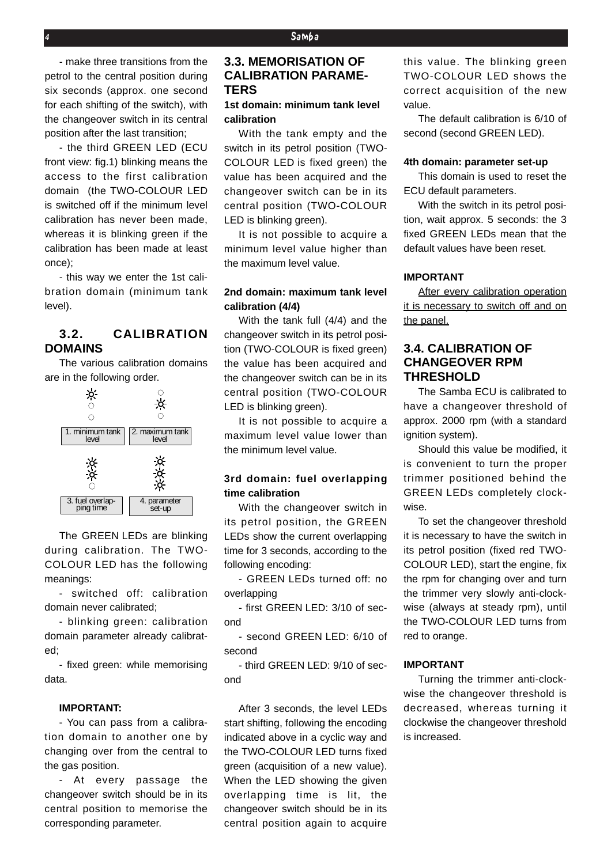- make three transitions from the petrol to the central position during six seconds (approx. one second for each shifting of the switch), with the changeover switch in its central position after the last transition;

- the third GREEN LED (ECU front view: fig.1) blinking means the access to the first calibration domain (the TWO-COLOUR LED is switched off if the minimum level calibration has never been made, whereas it is blinking green if the calibration has been made at least once);

- this way we enter the 1st calibration domain (minimum tank level).

#### **3.2. CALIBRATION DOMAINS**

The various calibration domains are in the following order.



The GREEN LEDs are blinking during calibration. The TWO-COLOUR LED has the following meanings:

- switched off: calibration domain never calibrated;

- blinking green: calibration domain parameter already calibrated;

- fixed green: while memorising data.

#### **IMPORTANT:**

- You can pass from a calibration domain to another one by changing over from the central to the gas position.

- At every passage the changeover switch should be in its central position to memorise the corresponding parameter.

#### **3.3. MEMORISATION OF CALIBRATION PARAME-TERS**

#### **1st domain: minimum tank level calibration**

With the tank empty and the switch in its petrol position (TWO-COLOUR LED is fixed green) the value has been acquired and the changeover switch can be in its central position (TWO-COLOUR LED is blinking green).

It is not possible to acquire a minimum level value higher than the maximum level value.

#### **2nd domain: maximum tank level calibration (4/4)**

With the tank full (4/4) and the changeover switch in its petrol position (TWO-COLOUR is fixed green) the value has been acquired and the changeover switch can be in its central position (TWO-COLOUR LED is blinking green).

It is not possible to acquire a maximum level value lower than the minimum level value.

#### **3rd domain: fuel overlapping time calibration**

With the changeover switch in its petrol position, the GREEN LEDs show the current overlapping time for 3 seconds, according to the following encoding:

- GREEN LEDs turned off: no overlapping

- first GREEN LED: 3/10 of second

- second GREEN LED: 6/10 of second

- third GREEN LED: 9/10 of second

After 3 seconds, the level LEDs start shifting, following the encoding indicated above in a cyclic way and the TWO-COLOUR LED turns fixed green (acquisition of a new value). When the LED showing the given overlapping time is lit, the changeover switch should be in its central position again to acquire

this value. The blinking green TWO-COLOUR LED shows the correct acquisition of the new value.

The default calibration is 6/10 of second (second GREEN LED).

#### **4th domain: parameter set-up**

This domain is used to reset the ECU default parameters.

With the switch in its petrol position, wait approx. 5 seconds: the 3 fixed GREEN LEDs mean that the default values have been reset.

#### **IMPORTANT**

After every calibration operation it is necessary to switch off and on the panel.

#### **3.4. CALIBRATION OF CHANGEOVER RPM THRESHOLD**

The Samba ECU is calibrated to have a changeover threshold of approx. 2000 rpm (with a standard ignition system).

Should this value be modified, it is convenient to turn the proper trimmer positioned behind the GREEN LEDs completely clockwise.

To set the changeover threshold it is necessary to have the switch in its petrol position (fixed red TWO-COLOUR LED), start the engine, fix the rpm for changing over and turn the trimmer very slowly anti-clockwise (always at steady rpm), until the TWO-COLOUR LED turns from red to orange.

#### **IMPORTANT**

Turning the trimmer anti-clockwise the changeover threshold is decreased, whereas turning it clockwise the changeover threshold is increased.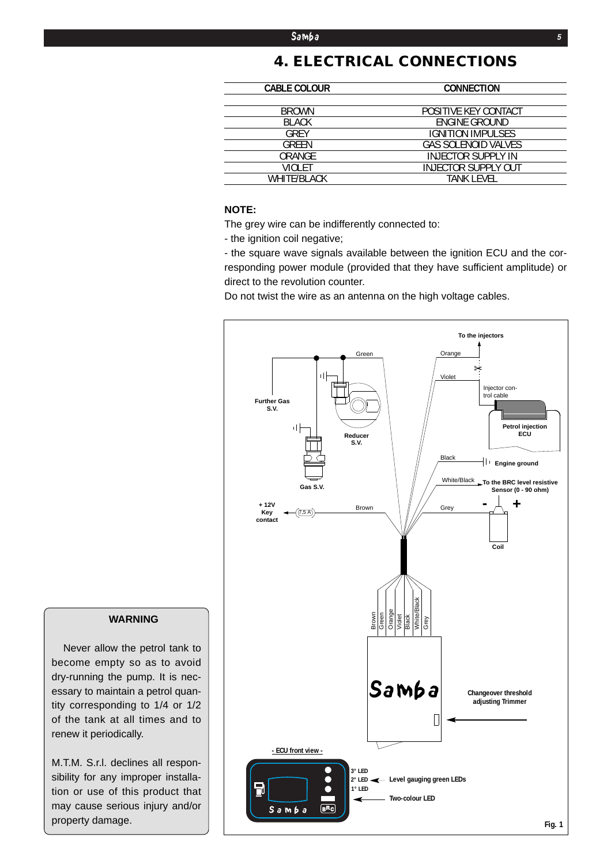# **4. ELECTRICAL CONNECTIONS**

| <b>CABLE COLOUR</b> | <b>CONNECTION</b>          |
|---------------------|----------------------------|
|                     |                            |
| <b>BROWN</b>        | POSITIVE KEY CONTACT       |
| <b>BLACK</b>        | ENGINE GROUND              |
| GRFY                | <b>IGNITION IMPULSES</b>   |
| <b>GREEN</b>        | <b>GAS SOLENOID VALVES</b> |
| ORANGE              | <b>INJECTOR SUPPLY IN</b>  |
| VIOLET              | <b>INJECTOR SUPPLY OUT</b> |
| <b>WHITE/BLACK</b>  | TANK LEVEL                 |
|                     |                            |

#### **NOTE:**

The grey wire can be indifferently connected to:

- the ignition coil negative;

- the square wave signals available between the ignition ECU and the corresponding power module (provided that they have sufficient amplitude) or direct to the revolution counter.

Do not twist the wire as an antenna on the high voltage cables.



#### **WARNING**

Never allow the petrol tank to become empty so as to avoid dry-running the pump. It is necessary to maintain a petrol quantity corresponding to 1/4 or 1/2 of the tank at all times and to renew it periodically.

M.T.M. S.r.l. declines all responsibility for any improper installation or use of this product that may cause serious injury and/or property damage.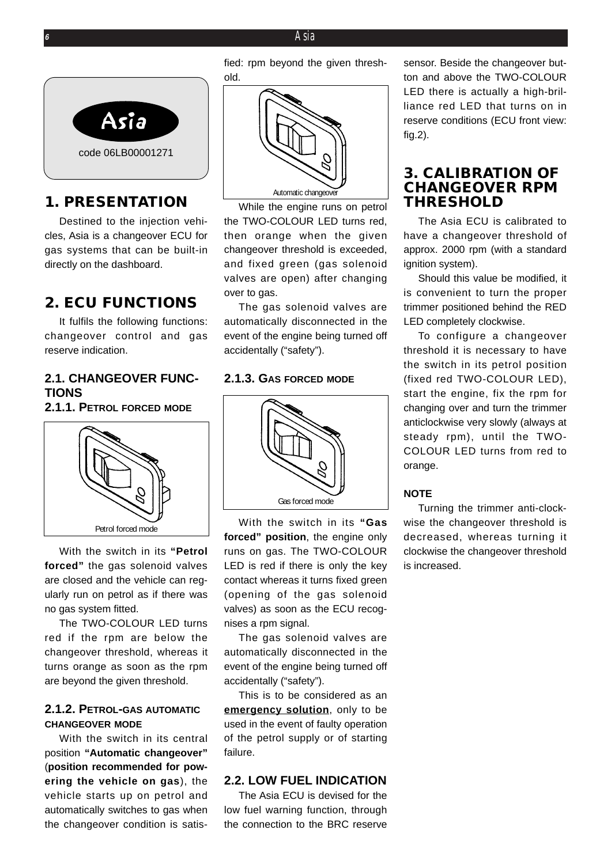#### **<sup>6</sup>** *Asia*



# **1. PRESENTATION**

Destined to the injection vehicles, Asia is a changeover ECU for gas systems that can be built-in directly on the dashboard.

# **2. ECU FUNCTIONS**

It fulfils the following functions: changeover control and gas reserve indication.

#### **2.1. CHANGEOVER FUNC-TIONS**

**2.1.1. PETROL FORCED MODE**



With the switch in its **"Petrol forced"** the gas solenoid valves are closed and the vehicle can regularly run on petrol as if there was no gas system fitted.

The TWO-COLOUR LED turns red if the rpm are below the changeover threshold, whereas it turns orange as soon as the rpm are beyond the given threshold.

#### **2.1.2. PETROL-GAS AUTOMATIC CHANGEOVER MODE**

With the switch in its central position **"Automatic changeover"** (**position recommended for powering the vehicle on gas**), the vehicle starts up on petrol and automatically switches to gas when the changeover condition is satisfied: rpm beyond the given threshold.



While the engine runs on petrol the TWO-COLOUR LED turns red, then orange when the given changeover threshold is exceeded, and fixed green (gas solenoid valves are open) after changing over to gas.

The gas solenoid valves are automatically disconnected in the event of the engine being turned off accidentally ("safety").

#### **2.1.3. GAS FORCED MODE**



With the switch in its **"Gas forced" position**, the engine only runs on gas. The TWO-COLOUR LED is red if there is only the key contact whereas it turns fixed green (opening of the gas solenoid valves) as soon as the ECU recognises a rpm signal.

The gas solenoid valves are automatically disconnected in the event of the engine being turned off accidentally ("safety").

This is to be considered as an **emergency solution**, only to be used in the event of faulty operation of the petrol supply or of starting failure.

#### **2.2. LOW FUEL INDICATION**

The Asia ECU is devised for the low fuel warning function, through the connection to the BRC reserve

sensor. Beside the changeover button and above the TWO-COLOUR LED there is actually a high-brilliance red LED that turns on in reserve conditions (ECU front view: fig.2).

#### **3. CALIBRATION OF CHANGEOVER RPM THRESHOLD**

The Asia ECU is calibrated to have a changeover threshold of approx. 2000 rpm (with a standard ignition system).

Should this value be modified, it is convenient to turn the proper trimmer positioned behind the RED LED completely clockwise.

To configure a changeover threshold it is necessary to have the switch in its petrol position (fixed red TWO-COLOUR LED), start the engine, fix the rpm for changing over and turn the trimmer anticlockwise very slowly (always at steady rpm), until the TWO-COLOUR LED turns from red to orange.

#### **NOTE**

Turning the trimmer anti-clockwise the changeover threshold is decreased, whereas turning it clockwise the changeover threshold is increased.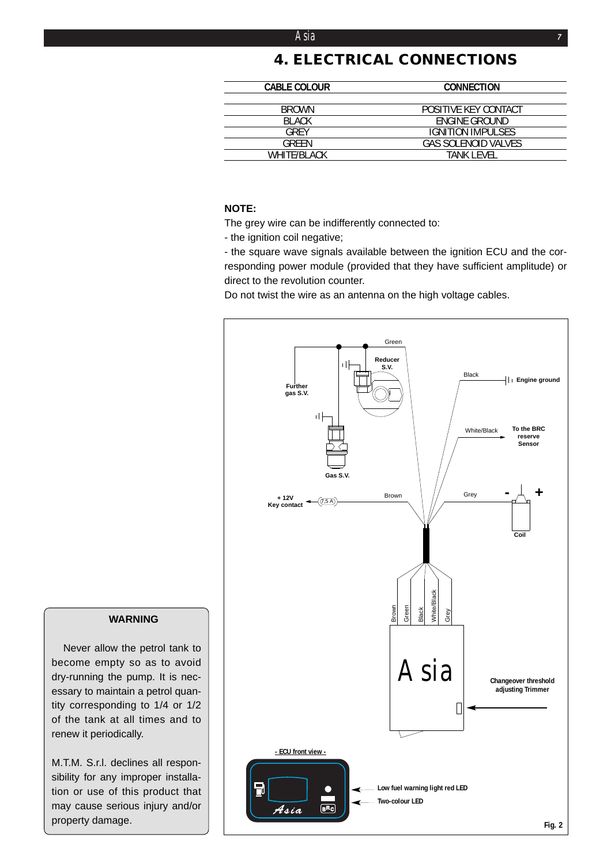#### *Asia* **<sup>7</sup>**

# **4. ELECTRICAL CONNECTIONS**

| <b>CABLE COLOUR</b> | <b>CONNECTION</b>        |
|---------------------|--------------------------|
|                     |                          |
| <b>BROWN</b>        | POSITIVE KEY CONTACT     |
| <b>BI ACK</b>       | ENGINE GROUND            |
| GRFY                | <b>IGNITION IMPULSES</b> |
| GRFFN               | GAS SOLENOID VALVES      |
| WHITF/BI ACK        | TANK I FVFI              |

#### **NOTE:**

The grey wire can be indifferently connected to:

- the ignition coil negative;

- the square wave signals available between the ignition ECU and the corresponding power module (provided that they have sufficient amplitude) or direct to the revolution counter.

Do not twist the wire as an antenna on the high voltage cables.



#### **WARNING**

Never allow the petrol tank to become empty so as to avoid dry-running the pump. It is necessary to maintain a petrol quantity corresponding to 1/4 or 1/2 of the tank at all times and to renew it periodically.

M.T.M. S.r.l. declines all responsibility for any improper installation or use of this product that may cause serious injury and/or property damage.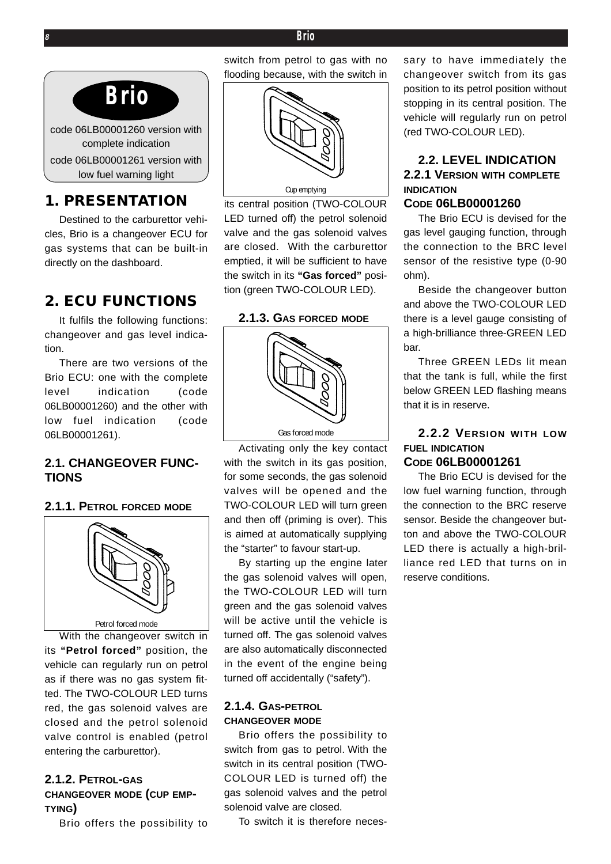#### **<sup>8</sup>** *Brio*



# **1. PRESENTATION**

Destined to the carburettor vehicles, Brio is a changeover ECU for gas systems that can be built-in directly on the dashboard.

# **2. ECU FUNCTIONS**

It fulfils the following functions: changeover and gas level indication.

There are two versions of the Brio ECU: one with the complete level indication (code 06LB00001260) and the other with low fuel indication (code 06LB00001261).

#### **2.1. CHANGEOVER FUNC-TIONS**

#### **2.1.1. PETROL FORCED MODE**



With the changeover switch in its **"Petrol forced"** position, the vehicle can regularly run on petrol as if there was no gas system fitted. The TWO-COLOUR LED turns red, the gas solenoid valves are closed and the petrol solenoid valve control is enabled (petrol entering the carburettor).

#### **2.1.2. PETROL-GAS CHANGEOVER MODE (CUP EMP-TYING)**

Brio offers the possibility to

switch from petrol to gas with no flooding because, with the switch in



its central position (TWO-COLOUR LED turned off) the petrol solenoid valve and the gas solenoid valves are closed. With the carburettor emptied, it will be sufficient to have the switch in its **"Gas forced"** position (green TWO-COLOUR LED).

**2.1.3. GAS FORCED MODE**



Activating only the key contact with the switch in its gas position, for some seconds, the gas solenoid valves will be opened and the TWO-COLOUR LED will turn green and then off (priming is over). This is aimed at automatically supplying the "starter" to favour start-up.

By starting up the engine later the gas solenoid valves will open, the TWO-COLOUR LED will turn green and the gas solenoid valves will be active until the vehicle is turned off. The gas solenoid valves are also automatically disconnected in the event of the engine being turned off accidentally ("safety").

#### **2.1.4. GAS-PETROL CHANGEOVER MODE**

Brio offers the possibility to switch from gas to petrol. With the switch in its central position (TWO-COLOUR LED is turned off) the gas solenoid valves and the petrol solenoid valve are closed.

To switch it is therefore neces-

sary to have immediately the changeover switch from its gas position to its petrol position without stopping in its central position. The vehicle will regularly run on petrol (red TWO-COLOUR LED).

# **2.2. LEVEL INDICATION 2.2.1 VERSION WITH COMPLETE INDICATION**

#### **CODE 06LB00001260**

The Brio ECU is devised for the gas level gauging function, through the connection to the BRC level sensor of the resistive type (0-90 ohm).

Beside the changeover button and above the TWO-COLOUR LED there is a level gauge consisting of a high-brilliance three-GREEN LED bar.

Three GREEN LEDs lit mean that the tank is full, while the first below GREEN LED flashing means that it is in reserve.

# **2.2.2 VERSION WITH LOW FUEL INDICATION**

**CODE 06LB00001261**

The Brio ECU is devised for the low fuel warning function, through the connection to the BRC reserve sensor. Beside the changeover button and above the TWO-COLOUR LED there is actually a high-brilliance red LED that turns on in reserve conditions.